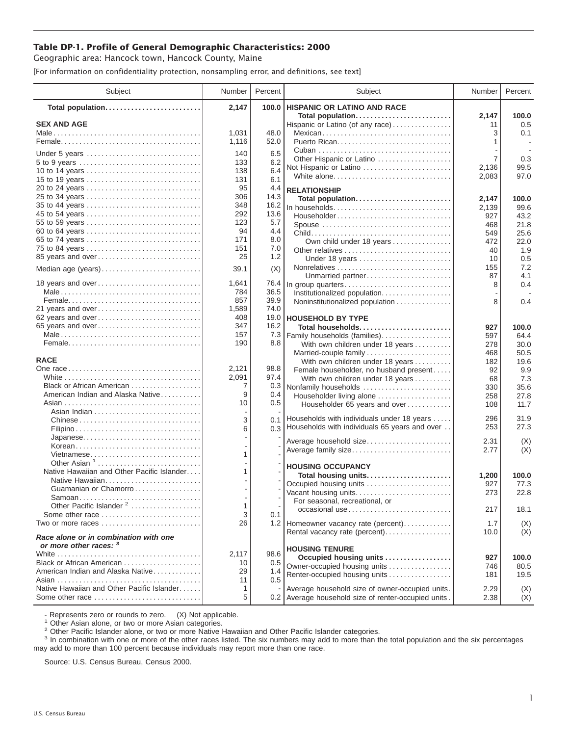## **Table DP-1. Profile of General Demographic Characteristics: 2000**

Geographic area: Hancock town, Hancock County, Maine

[For information on confidentiality protection, nonsampling error, and definitions, see text]

| Subject                                                         | Number     | Percent      | Subject                                              | Number      | Percent      |
|-----------------------------------------------------------------|------------|--------------|------------------------------------------------------|-------------|--------------|
| Total population                                                | 2,147      | 100.0        | <b>HISPANIC OR LATINO AND RACE</b>                   |             |              |
| <b>SEX AND AGE</b>                                              |            |              | Total population<br>Hispanic or Latino (of any race) | 2,147<br>11 | 100.0<br>0.5 |
|                                                                 | 1,031      | 48.0         | Mexican                                              | 3           | 0.1          |
|                                                                 | 1,116      | 52.0         |                                                      | 1           |              |
|                                                                 |            |              |                                                      |             |              |
| Under 5 years                                                   | 140<br>133 | 6.5<br>6.2   | Other Hispanic or Latino                             | 7           | 0.3          |
| 10 to 14 years                                                  | 138        | 6.4          | Not Hispanic or Latino                               | 2,136       | 99.5         |
| 15 to 19 years                                                  | 131        | 6.1          | White alone                                          | 2,083       | 97.0         |
| 20 to 24 years                                                  | 95         | 4.4          | <b>RELATIONSHIP</b>                                  |             |              |
| 25 to 34 years                                                  | 306        | 14.3         | Total population                                     | 2,147       | 100.0        |
|                                                                 | 348        | 16.2         | In households                                        | 2,139       | 99.6         |
| 45 to 54 years                                                  | 292        | 13.6         | Householder                                          | 927         | 43.2         |
| 55 to 59 years                                                  | 123        | 5.7          | Spouse                                               | 468         | 21.8         |
| 60 to 64 years                                                  | 94         | 4.4          |                                                      | 549         | 25.6         |
| 65 to 74 years                                                  | 171        | 8.0          | Own child under 18 years                             | 472         | 22.0         |
| 75 to 84 years                                                  | 151        | 7.0          | Other relatives                                      | 40          | 1.9          |
| 85 years and over                                               | 25         | 1.2          | Under 18 years                                       | 10          | 0.5          |
| Median age (years)                                              | 39.1       | (X)          |                                                      | 155         | 7.2          |
|                                                                 |            |              | Unmarried partner                                    | 87          | 4.1          |
| 18 years and over                                               | 1,641      | 76.4         | In group quarters                                    | 8           | 0.4          |
|                                                                 | 784<br>857 | 36.5<br>39.9 | Institutionalized population                         |             |              |
| 21 years and over                                               | 1,589      | 74.0         | Noninstitutionalized population                      | 8           | 0.4          |
| 62 years and over                                               | 408        | 19.0         | <b>HOUSEHOLD BY TYPE</b>                             |             |              |
| 65 years and over                                               | 347        | 16.2         | Total households                                     | 927         | 100.0        |
|                                                                 | 157        | 7.3          | Family households (families)                         | 597         | 64.4         |
|                                                                 | 190        | 8.8          | With own children under 18 years                     | 278         | 30.0         |
|                                                                 |            |              | Married-couple family                                | 468         | 50.5         |
| <b>RACE</b>                                                     |            |              | With own children under 18 years                     | 182         | 19.6         |
|                                                                 | 2,121      | 98.8         | Female householder, no husband present               | 92          | 9.9          |
|                                                                 | 2,091      | 97.4         | With own children under 18 years                     | 68          | 7.3          |
| Black or African American                                       | 7          | 0.3          | Nonfamily households                                 | 330         | 35.6         |
| American Indian and Alaska Native                               | 9          | 0.4          | Householder living alone                             | 258         | 27.8         |
|                                                                 | 10         | 0.5          | Householder 65 years and over                        | 108         | 11.7         |
|                                                                 |            |              | Households with individuals under 18 years           | 296         | 31.9         |
| Chinese                                                         | 3          | 0.1          | 0.3 Households with individuals 65 years and over    | 253         | 27.3         |
|                                                                 | 6          |              |                                                      |             |              |
| Japanese<br>Korean                                              |            |              | Average household size                               | 2.31        | (X)          |
| Vietnamese                                                      | 1          |              | Average family size                                  | 2.77        | (X)          |
| Other Asian <sup>1</sup>                                        |            |              |                                                      |             |              |
| Native Hawaiian and Other Pacific Islander                      | 1          |              | <b>HOUSING OCCUPANCY</b>                             |             |              |
| Native Hawaiian                                                 |            |              | Total housing units                                  | 1,200       | 100.0        |
| Guamanian or Chamorro                                           |            |              | Occupied housing units<br>Vacant housing units       | 927<br>273  | 77.3<br>22.8 |
|                                                                 |            |              | For seasonal, recreational, or                       |             |              |
| Other Pacific Islander <sup>2</sup>                             | 1          |              | occasional use                                       | 217         | 18.1         |
| Some other race                                                 | 3          | 0.1          |                                                      |             |              |
| Two or more races                                               | 26         |              | 1.2 Homeowner vacancy rate (percent)                 | 1.7         | (X)          |
| Race alone or in combination with one<br>or more other races: 3 |            |              | Rental vacancy rate (percent)                        | 10.0        | (X)          |
|                                                                 | 2,117      | 98.6         | <b>HOUSING TENURE</b>                                |             |              |
| Black or African American                                       | 10         | 0.5          | Occupied housing units                               | 927         | 100.0        |
| American Indian and Alaska Native                               | 29         | 1.4          | Owner-occupied housing units                         | 746         | 80.5         |
|                                                                 | 11         | 0.5          | Renter-occupied housing units                        | 181         | 19.5         |
| Native Hawaiian and Other Pacific Islander                      | 1          |              | Average household size of owner-occupied units.      | 2.29        | (X)          |
| Some other race                                                 | 5          |              | 0.2 Average household size of renter-occupied units. | 2.38        | (X)          |

- Represents zero or rounds to zero. (X) Not applicable.<br><sup>1</sup> Other Asian alone, or two or more Asian categories.

<sup>2</sup> Other Pacific Islander alone, or two or more Native Hawaiian and Other Pacific Islander categories.<br><sup>3</sup> In combination with one or more of the other races listed. The six numbers may add to more than the total populati may add to more than 100 percent because individuals may report more than one race.

Source: U.S. Census Bureau, Census 2000.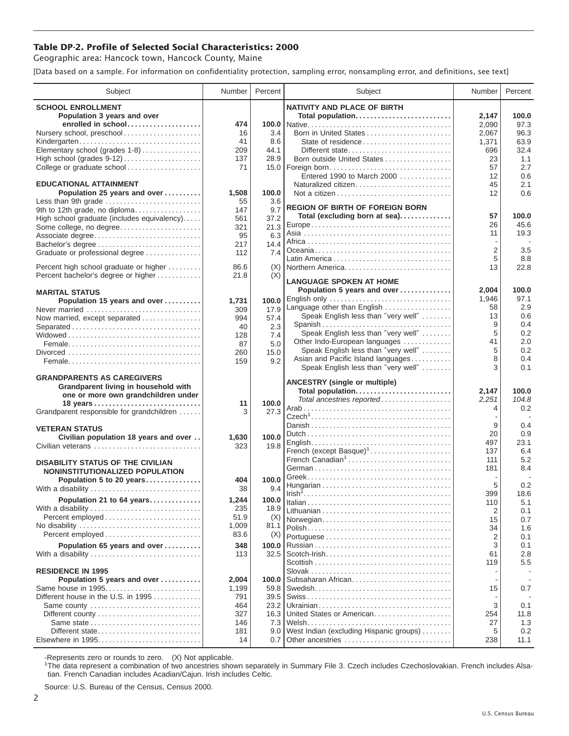## **Table DP-2. Profile of Selected Social Characteristics: 2000**

Geographic area: Hancock town, Hancock County, Maine

[Data based on a sample. For information on confidentiality protection, sampling error, nonsampling error, and definitions, see text]

| Subject                                              | Number      | Percent       | Subject                                 | Number         | Percent     |
|------------------------------------------------------|-------------|---------------|-----------------------------------------|----------------|-------------|
| <b>SCHOOL ENROLLMENT</b>                             |             |               | <b>NATIVITY AND PLACE OF BIRTH</b>      |                |             |
| Population 3 years and over                          |             |               | Total population                        | 2,147          | 100.0       |
| enrolled in school                                   | 474         |               |                                         | 2,090          | 97.3        |
| Nursery school, preschool                            | 16          | 3.4           | Born in United States                   | 2,067          | 96.3        |
| Kindergarten                                         | 41          | 8.6           | State of residence                      | 1,371          | 63.9        |
| Elementary school (grades 1-8)                       | 209         | 44.1          | Different state                         | 696            | 32.4        |
|                                                      | 137         | 28.9          | Born outside United States              | 23             | 1.1         |
| College or graduate school                           | 71          |               | 15.0   Foreign born                     | 57             | 2.7         |
|                                                      |             |               | Entered 1990 to March 2000              | 12             | 0.6         |
| <b>EDUCATIONAL ATTAINMENT</b>                        |             |               | Naturalized citizen                     | 45             | 2.1         |
| Population 25 years and over                         | 1,508<br>55 | 100.0         |                                         | 12             | 0.6         |
| Less than 9th grade<br>9th to 12th grade, no diploma | 147         | 3.6<br>9.7    | <b>REGION OF BIRTH OF FOREIGN BORN</b>  |                |             |
| High school graduate (includes equivalency)          | 561         | 37.2          | Total (excluding born at sea)           | 57             | 100.0       |
| Some college, no degree                              | 321         | 21.3          |                                         | 26             | 45.6        |
| Associate degree                                     | 95          | 6.3           |                                         | 11             | 19.3        |
| Bachelor's degree                                    | 217         | 14.4          |                                         |                |             |
| Graduate or professional degree                      | 112         | 7.4           |                                         | $\overline{2}$ | 3.5         |
|                                                      |             |               |                                         | 5              | 8.8         |
| Percent high school graduate or higher               | 86.6        | (X)           | Northern America                        | 13             | 22.8        |
| Percent bachelor's degree or higher                  | 21.8        | (X)           | <b>LANGUAGE SPOKEN AT HOME</b>          |                |             |
| <b>MARITAL STATUS</b>                                |             |               | Population 5 years and over             | 2,004          | 100.0       |
| Population 15 years and over                         | 1,731       | 100.0         | English only                            | 1.946          | 97.1        |
| Never married                                        | 309         | 17.9          | Language other than English             | 58             | 2.9         |
| Now married, except separated                        | 994         | 57.4          | Speak English less than "very well"     | 13             | 0.6         |
| Separated                                            | 40          | 2.3           | Spanish                                 | 9              | 0.4         |
|                                                      | 128         | 7.4           | Speak English less than "very well"     | 5              | 0.2         |
|                                                      | 87          | 5.0           | Other Indo-European languages           | 41             | 2.0         |
|                                                      | 260         | 15.0          | Speak English less than "very well"     | 5              | 0.2         |
|                                                      | 159         | 9.2           | Asian and Pacific Island languages      | 8              | 0.4         |
|                                                      |             |               | Speak English less than "very well"     | 3              | 0.1         |
| <b>GRANDPARENTS AS CAREGIVERS</b>                    |             |               | <b>ANCESTRY (single or multiple)</b>    |                |             |
| Grandparent living in household with                 |             |               | Total population                        | 2,147          | 100.0       |
| one or more own grandchildren under                  |             |               | Total ancestries reported               | 2,251          | 104.8       |
| Grandparent responsible for grandchildren            | 11<br>3     | 100.0<br>27.3 |                                         | 4              | 0.2         |
|                                                      |             |               |                                         |                |             |
| <b>VETERAN STATUS</b>                                |             |               |                                         | 9              | 0.4         |
| Civilian population 18 years and over                | 1,630       | 100.0         |                                         | 20             | 0.9         |
| Civilian veterans                                    | 323         | 19.8          |                                         | 497            | 23.1        |
|                                                      |             |               | French (except Basque) <sup>1</sup>     | 137            | 6.4         |
| <b>DISABILITY STATUS OF THE CIVILIAN</b>             |             |               | French Canadian <sup>1</sup>            | 111            | 5.2         |
| NONINSTITUTIONALIZED POPULATION                      |             |               |                                         | 181            | 8.4         |
| Population 5 to 20 years                             | 404         | 100.0         |                                         | 5              | 0.2         |
| With a disability                                    | 38          | 9.4           |                                         | 399            | 18.6        |
| Population 21 to 64 years                            | 1,244       | 100.0         |                                         | 110            | 5.1         |
| With a disability                                    | 235         | 18.9          |                                         | 2              | 0.1         |
|                                                      | 51.9        | (X)           | Norwegian                               | 15             | 0.7         |
|                                                      | 1,009       | 81.1          |                                         | 34             | 1.6         |
|                                                      | 83.6        | (X)           |                                         | $\overline{2}$ | 0.1         |
| Population 65 years and over                         | 348         | 100.0         |                                         | 3              | 0.1         |
| With a disability                                    | 113         | 32.5          |                                         | 61             | 2.8         |
|                                                      |             |               |                                         | 119            | 5.5         |
| <b>RESIDENCE IN 1995</b>                             |             |               |                                         |                |             |
| Population 5 years and over                          | 2,004       | 100.0         | Subsaharan African                      |                |             |
| Same house in 1995                                   | 1,199       | 59.8          |                                         | 15             | 0.7         |
| Different house in the U.S. in 1995                  | 791         | 39.5          |                                         |                |             |
| Same county                                          | 464         | 23.2          | United States or American               | 3              | 0.1         |
|                                                      | 327<br>146  | 16.3<br>7.3   |                                         | 254<br>27      | 11.8<br>1.3 |
| Different state                                      | 181         | 9.0           | West Indian (excluding Hispanic groups) | 5              | 0.2         |
|                                                      | 14          | 0.7           | Other ancestries                        | 238            | 11.1        |
|                                                      |             |               |                                         |                |             |

-Represents zero or rounds to zero. (X) Not applicable. 1 The data represent a combination of two ancestries shown separately in Summary File 3. Czech includes Czechoslovakian. French includes Alsatian. French Canadian includes Acadian/Cajun. Irish includes Celtic.

Source: U.S. Bureau of the Census, Census 2000.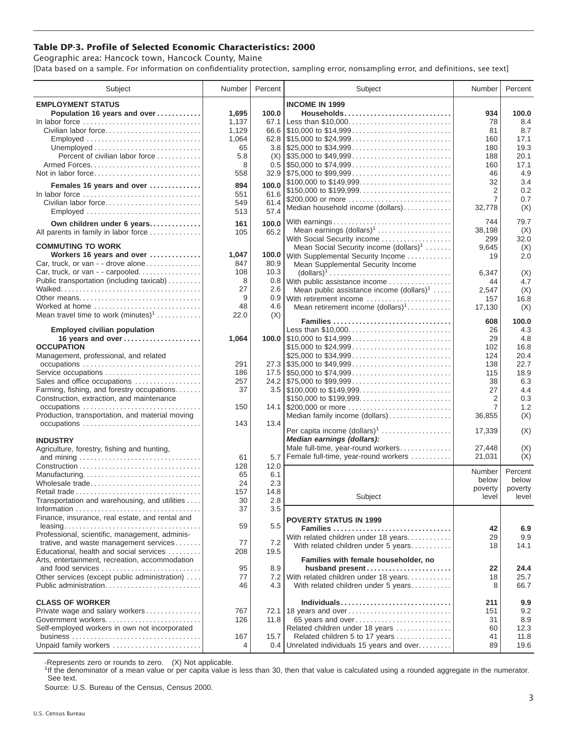## **Table DP-3. Profile of Selected Economic Characteristics: 2000**

Geographic area: Hancock town, Hancock County, Maine [Data based on a sample. For information on confidentiality protection, sampling error, nonsampling error, and definitions, see text]

| Subject                                                                         | Number | Percent | Subject                                                                                | Number         | Percent |
|---------------------------------------------------------------------------------|--------|---------|----------------------------------------------------------------------------------------|----------------|---------|
| <b>EMPLOYMENT STATUS</b>                                                        |        |         | <b>INCOME IN 1999</b>                                                                  |                |         |
| Population 16 years and over                                                    | 1,695  | 100.0   | Households                                                                             | 934            | 100.0   |
|                                                                                 | 1,137  | 67.1    | Less than \$10,000                                                                     | 78             | 8.4     |
| Civilian labor force                                                            | 1,129  |         |                                                                                        | 81             | 8.7     |
| Employed                                                                        | 1,064  |         |                                                                                        | 160            | 17.1    |
|                                                                                 | 65     |         |                                                                                        | 180            | 19.3    |
| Percent of civilian labor force                                                 | 5.8    | (X)     | $\frac{1}{2}$ \$35,000 to \$49,999                                                     | 188            | 20.1    |
|                                                                                 | 8      |         |                                                                                        | 160            | 17.1    |
| Not in labor force                                                              | 558    |         |                                                                                        | 46             | 4.9     |
|                                                                                 |        |         | \$100,000 to \$149,999                                                                 | 32             | 3.4     |
| Females 16 years and over                                                       | 894    | 100.0   | \$150,000 to \$199,999                                                                 | 2              | 0.2     |
| In labor force $\ldots, \ldots, \ldots, \ldots, \ldots, \ldots, \ldots, \ldots$ | 551    | 61.6    | \$200,000 or more                                                                      | $\overline{7}$ | 0.7     |
| Civilian labor force                                                            | 549    | 61.4    | Median household income (dollars)                                                      | 32,778         | (X)     |
| Employed                                                                        | 513    | 57.4    |                                                                                        |                |         |
| Own children under 6 years                                                      | 161    | 100.0   | With earnings                                                                          | 744            | 79.7    |
| All parents in family in labor force                                            | 105    | 65.2    | Mean earnings (dollars) <sup>1</sup>                                                   | 38,198         | (X)     |
|                                                                                 |        |         | With Social Security income                                                            | 299            | 32.0    |
| <b>COMMUTING TO WORK</b>                                                        |        |         | Mean Social Security income $(dollars)^1$                                              | 9,645          | (X)     |
| Workers 16 years and over                                                       | 1,047  |         | 100.0 With Supplemental Security Income                                                | 19             | 2.0     |
| Car, truck, or van - - drove alone                                              | 847    | 80.9    | Mean Supplemental Security Income                                                      |                |         |
| Car, truck, or van - - carpooled                                                | 108    | 10.3    | $\text{(dollars)}^1 \dots \dots \dots \dots \dots \dots \dots \dots \dots \dots \dots$ | 6,347          | (X)     |
| Public transportation (including taxicab)                                       | 8      |         | 0.8 With public assistance income                                                      | 44             | 4.7     |
|                                                                                 | 27     | 2.6     | Mean public assistance income $(dollars)1 \ldots$ .                                    | 2.547          | (X)     |
| Other means                                                                     | 9      |         | 0.9 With retirement income                                                             | 157            | 16.8    |
| Worked at home                                                                  | 48     | 4.6     | Mean retirement income $(dollars)1$                                                    | 17,130         | (X)     |
| Mean travel time to work $(minutes)^1$                                          | 22.0   | (X)     |                                                                                        |                |         |
|                                                                                 |        |         | Families                                                                               | 608            | 100.0   |
| <b>Employed civilian population</b>                                             |        |         | Less than \$10,000                                                                     | 26             | 4.3     |
| 16 years and over                                                               | 1,064  |         |                                                                                        | 29             | 4.8     |
| <b>OCCUPATION</b>                                                               |        |         | \$15,000 to \$24,999                                                                   | 102            | 16.8    |
| Management, professional, and related                                           |        |         | \$25,000 to \$34,999                                                                   | 124            | 20.4    |
|                                                                                 | 291    |         |                                                                                        | 138            | 22.7    |
| Service occupations                                                             | 186    |         |                                                                                        | 115            | 18.9    |
| Sales and office occupations                                                    | 257    |         |                                                                                        | 38             | 6.3     |
| Farming, fishing, and forestry occupations                                      | 37     |         |                                                                                        | 27             | 4.4     |
| Construction, extraction, and maintenance                                       |        |         | \$150,000 to \$199,999                                                                 | 2              | 0.3     |
| occupations                                                                     | 150    |         | 14.1 \$200,000 or more                                                                 | 7              | 1.2     |
| Production, transportation, and material moving<br>occupations                  | 143    | 13.4    | Median family income (dollars)                                                         | 36,855         | (X)     |
|                                                                                 |        |         | Per capita income $(dollars)1$                                                         | 17,339         | (X)     |
| <b>INDUSTRY</b>                                                                 |        |         | Median earnings (dollars):                                                             |                |         |
| Agriculture, forestry, fishing and hunting,                                     |        |         | Male full-time, year-round workers                                                     | 27.448         | (X)     |
|                                                                                 | 61     | 5.7     | Female full-time, year-round workers                                                   | 21,031         | (X)     |
|                                                                                 | 128    | 12.0    |                                                                                        |                |         |
| Manufacturing                                                                   | 65     | 6.1     |                                                                                        | Number         | Percent |
| Wholesale trade                                                                 | 24     | 2.3     |                                                                                        | below          | below   |
| Retail trade                                                                    | 157    | 14.8    |                                                                                        | poverty        | poverty |
| Transportation and warehousing, and utilities                                   | 30     | 2.8     | Subject                                                                                | level          | level   |
|                                                                                 | 37     | 3.5     |                                                                                        |                |         |
| Finance, insurance, real estate, and rental and                                 |        |         |                                                                                        |                |         |
|                                                                                 | 59     | 5.5     | <b>POVERTY STATUS IN 1999</b>                                                          |                |         |
| Professional, scientific, management, adminis-                                  |        |         | Families                                                                               | 42             | 6.9     |
| trative, and waste management services                                          | 77     | 7.2     | With related children under 18 years                                                   | 29<br>18       | 9.9     |
| Educational, health and social services                                         | 208    | 19.5    | With related children under 5 years                                                    |                | 14.1    |
| Arts, entertainment, recreation, accommodation                                  |        |         | Families with female householder, no                                                   |                |         |
| and food services                                                               | 95     | 8.9     | husband present                                                                        | 22             | 24.4    |
| Other services (except public administration)                                   | 77     |         | 7.2 With related children under 18 years                                               | 18             | 25.7    |
| Public administration                                                           | 46     | 4.3     | With related children under 5 years                                                    | 8              | 66.7    |
|                                                                                 |        |         |                                                                                        |                |         |
| <b>CLASS OF WORKER</b>                                                          |        |         | Individuals                                                                            | 211            | 9.9     |
| Private wage and salary workers                                                 | 767    |         | 72.1 18 years and over                                                                 | 151            | 9.2     |
|                                                                                 | 126    | 11.8    | 65 years and over                                                                      | 31             | 8.9     |
| Self-employed workers in own not incorporated                                   |        |         | Related children under 18 years                                                        | 60             | 12.3    |
|                                                                                 | 167    | 15.7    | Related children 5 to 17 years                                                         | 41             | 11.8    |
| Unpaid family workers                                                           | 4      |         | 0.4 Unrelated individuals 15 years and over                                            | 89             | 19.6    |

-Represents zero or rounds to zero. (X) Not applicable.

<sup>1</sup>If the denominator of a mean value or per capita value is less than 30, then that value is calculated using a rounded aggregate in the numerator. See text.

Source: U.S. Bureau of the Census, Census 2000.